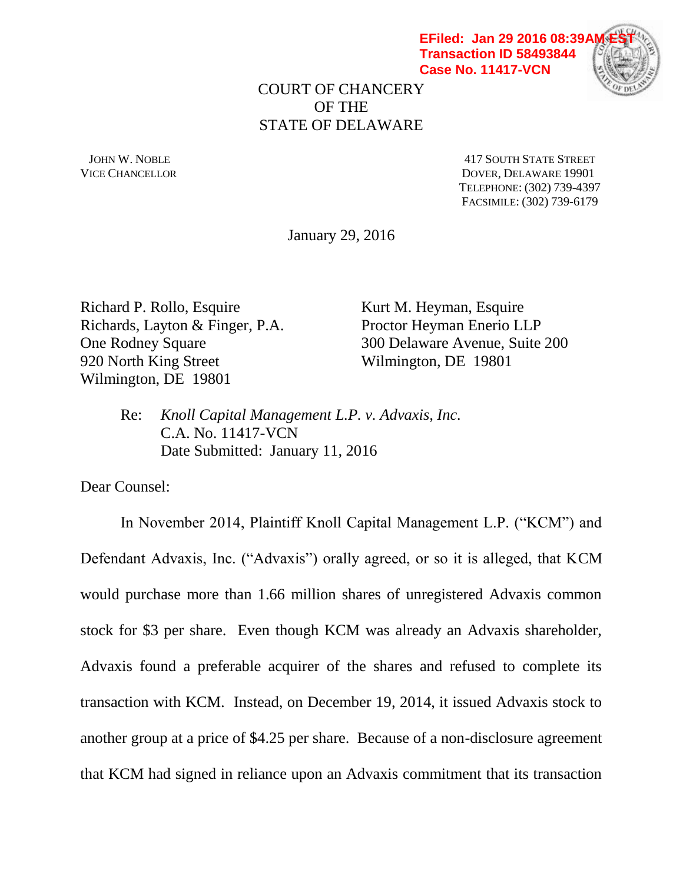**EFiled: Jan 29 2016 08:39A Transaction ID 58493844 Case No. 11417-VCN**



COURT OF CHANCERY OF THE STATE OF DELAWARE

JOHN W. NOBLE 417 SOUTH STATE STREET VICE CHANCELLOR DOVER, DELAWARE 19901 TELEPHONE: (302) 739-4397 FACSIMILE: (302) 739-6179

January 29, 2016

Richard P. Rollo, Esquire Kurt M. Heyman, Esquire Richards, Layton & Finger, P.A. Proctor Heyman Enerio LLP 920 North King Street Wilmington, DE 19801 Wilmington, DE 19801

One Rodney Square 300 Delaware Avenue, Suite 200

Re: *Knoll Capital Management L.P. v. Advaxis, Inc.* C.A. No. 11417-VCN Date Submitted: January 11, 2016

Dear Counsel:

In November 2014, Plaintiff Knoll Capital Management L.P. ("KCM") and Defendant Advaxis, Inc. ("Advaxis") orally agreed, or so it is alleged, that KCM would purchase more than 1.66 million shares of unregistered Advaxis common stock for \$3 per share. Even though KCM was already an Advaxis shareholder, Advaxis found a preferable acquirer of the shares and refused to complete its transaction with KCM. Instead, on December 19, 2014, it issued Advaxis stock to another group at a price of \$4.25 per share. Because of a non-disclosure agreement that KCM had signed in reliance upon an Advaxis commitment that its transaction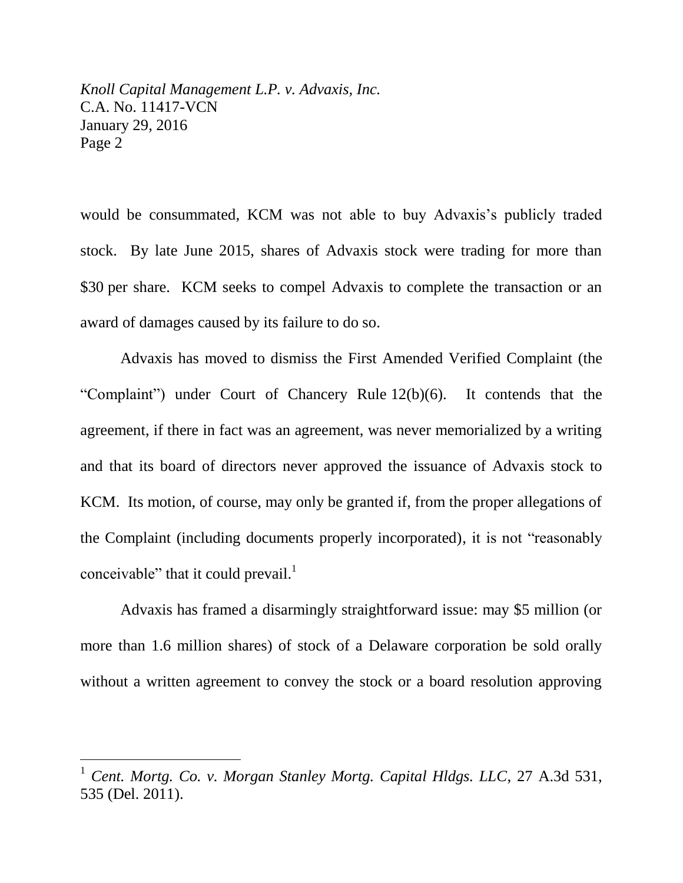would be consummated, KCM was not able to buy Advaxis's publicly traded stock. By late June 2015, shares of Advaxis stock were trading for more than \$30 per share. KCM seeks to compel Advaxis to complete the transaction or an award of damages caused by its failure to do so.

Advaxis has moved to dismiss the First Amended Verified Complaint (the "Complaint") under Court of Chancery Rule 12(b)(6). It contends that the agreement, if there in fact was an agreement, was never memorialized by a writing and that its board of directors never approved the issuance of Advaxis stock to KCM. Its motion, of course, may only be granted if, from the proper allegations of the Complaint (including documents properly incorporated), it is not "reasonably conceivable" that it could prevail. $1$ 

Advaxis has framed a disarmingly straightforward issue: may \$5 million (or more than 1.6 million shares) of stock of a Delaware corporation be sold orally without a written agreement to convey the stock or a board resolution approving

<sup>1</sup> *Cent. Mortg. Co. v. Morgan Stanley Mortg. Capital Hldgs. LLC*, 27 A.3d 531, 535 (Del. 2011).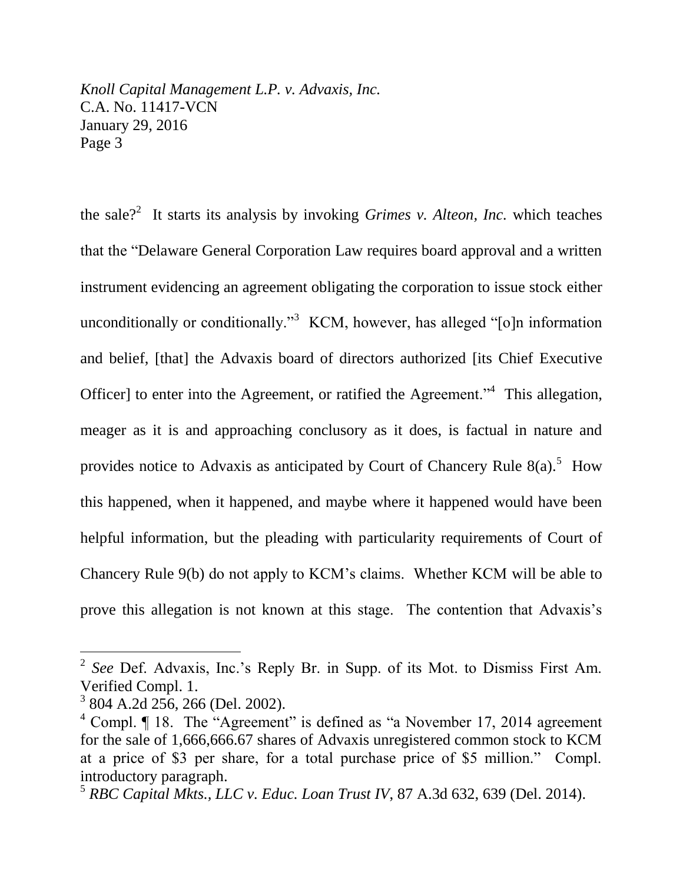the sale?<sup>2</sup> It starts its analysis by invoking *Grimes v. Alteon, Inc.* which teaches that the "Delaware General Corporation Law requires board approval and a written instrument evidencing an agreement obligating the corporation to issue stock either unconditionally or conditionally."<sup>3</sup> KCM, however, has alleged "[o]n information and belief, [that] the Advaxis board of directors authorized [its Chief Executive Officer] to enter into the Agreement, or ratified the Agreement.<sup>"4</sup> This allegation, meager as it is and approaching conclusory as it does, is factual in nature and provides notice to Advaxis as anticipated by Court of Chancery Rule  $8(a)$ .<sup>5</sup> How this happened, when it happened, and maybe where it happened would have been helpful information, but the pleading with particularity requirements of Court of Chancery Rule 9(b) do not apply to KCM's claims. Whether KCM will be able to prove this allegation is not known at this stage. The contention that Advaxis's

l

<sup>2</sup> *See* Def. Advaxis, Inc.'s Reply Br. in Supp. of its Mot. to Dismiss First Am. Verified Compl. 1.

<sup>3</sup> 804 A.2d 256, 266 (Del. 2002).

<sup>&</sup>lt;sup>4</sup> Compl. ¶ 18. The "Agreement" is defined as "a November 17, 2014 agreement for the sale of 1,666,666.67 shares of Advaxis unregistered common stock to KCM at a price of \$3 per share, for a total purchase price of \$5 million." Compl. introductory paragraph.

<sup>5</sup> *RBC Capital Mkts., LLC v. Educ. Loan Trust IV*, 87 A.3d 632, 639 (Del. 2014).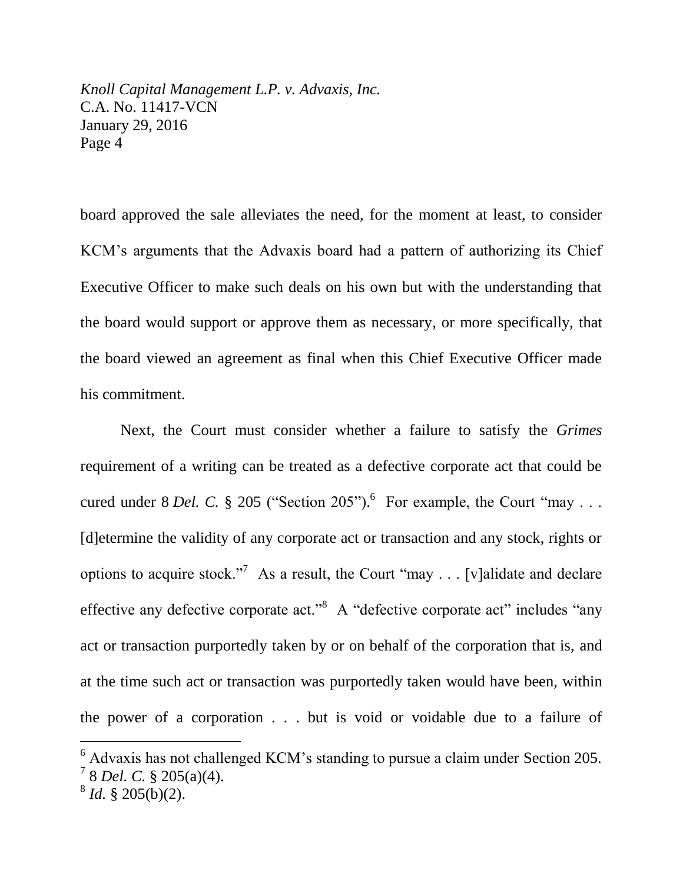board approved the sale alleviates the need, for the moment at least, to consider KCM's arguments that the Advaxis board had a pattern of authorizing its Chief Executive Officer to make such deals on his own but with the understanding that the board would support or approve them as necessary, or more specifically, that the board viewed an agreement as final when this Chief Executive Officer made his commitment.

Next, the Court must consider whether a failure to satisfy the *Grimes* requirement of a writing can be treated as a defective corporate act that could be cured under 8 *Del. C.* § 205 ("Section 205").<sup>6</sup> For example, the Court "may ... [d]etermine the validity of any corporate act or transaction and any stock, rights or options to acquire stock."<sup>7</sup> As a result, the Court "may . . . [v]alidate and declare effective any defective corporate act."<sup>8</sup> A "defective corporate act" includes "any act or transaction purportedly taken by or on behalf of the corporation that is, and at the time such act or transaction was purportedly taken would have been, within the power of a corporation . . . but is void or voidable due to a failure of

 $6$  Advaxis has not challenged KCM's standing to pursue a claim under Section 205. 7 8 *Del. C.* § 205(a)(4).

 $8^8$  *Id.* § 205(b)(2).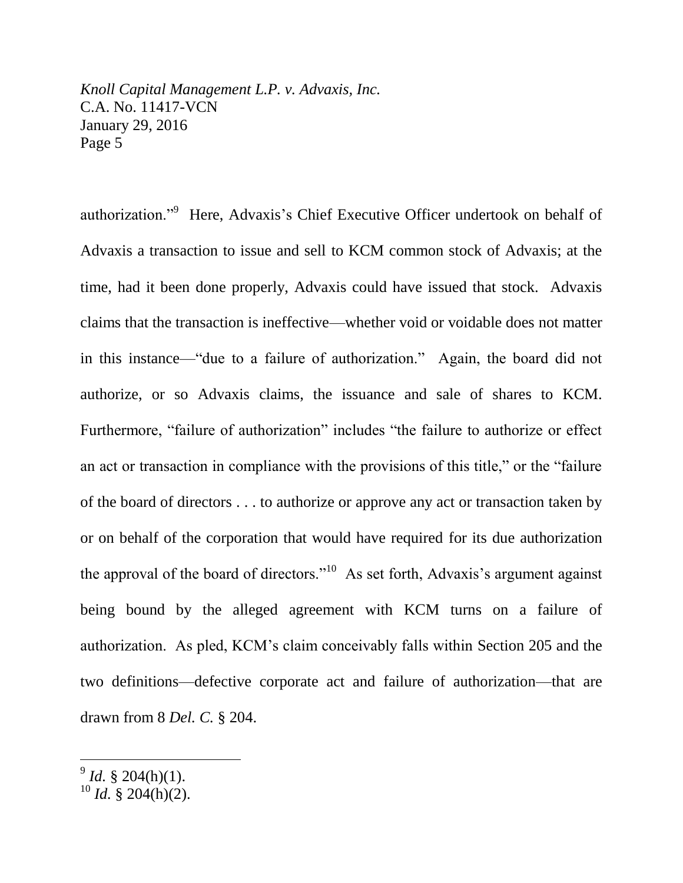authorization."<sup>9</sup> Here, Advaxis's Chief Executive Officer undertook on behalf of Advaxis a transaction to issue and sell to KCM common stock of Advaxis; at the time, had it been done properly, Advaxis could have issued that stock. Advaxis claims that the transaction is ineffective—whether void or voidable does not matter in this instance—"due to a failure of authorization." Again, the board did not authorize, or so Advaxis claims, the issuance and sale of shares to KCM. Furthermore, "failure of authorization" includes "the failure to authorize or effect an act or transaction in compliance with the provisions of this title," or the "failure of the board of directors . . . to authorize or approve any act or transaction taken by or on behalf of the corporation that would have required for its due authorization the approval of the board of directors."<sup>10</sup> As set forth, Advaxis's argument against being bound by the alleged agreement with KCM turns on a failure of authorization. As pled, KCM's claim conceivably falls within Section 205 and the two definitions—defective corporate act and failure of authorization—that are drawn from 8 *Del. C.* § 204.

 $9^9$  *Id.* § 204(h)(1).

 $10$  *Id.* § 204(h)(2).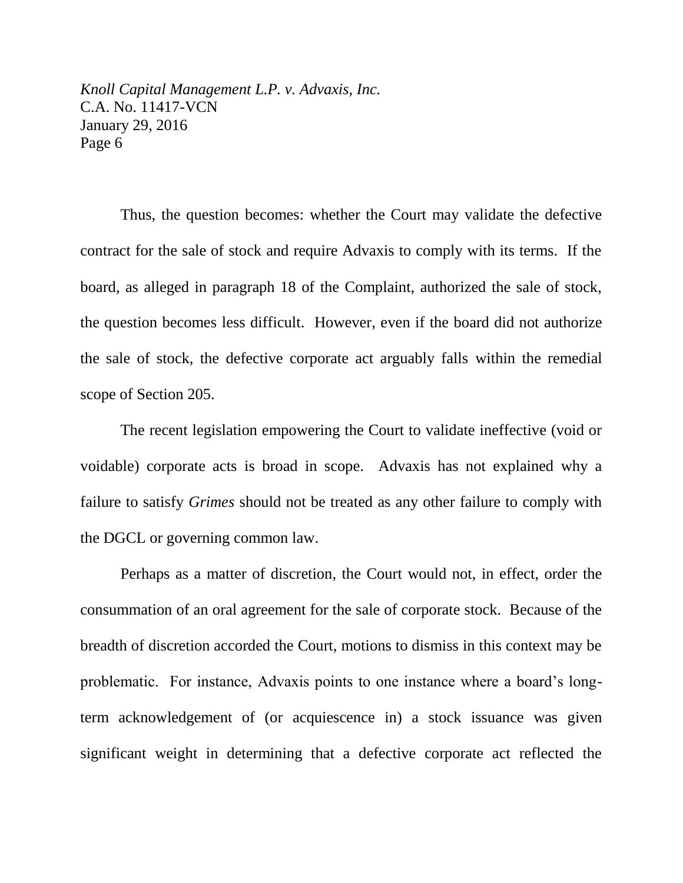Thus, the question becomes: whether the Court may validate the defective contract for the sale of stock and require Advaxis to comply with its terms. If the board, as alleged in paragraph 18 of the Complaint, authorized the sale of stock, the question becomes less difficult. However, even if the board did not authorize the sale of stock, the defective corporate act arguably falls within the remedial scope of Section 205.

The recent legislation empowering the Court to validate ineffective (void or voidable) corporate acts is broad in scope. Advaxis has not explained why a failure to satisfy *Grimes* should not be treated as any other failure to comply with the DGCL or governing common law.

Perhaps as a matter of discretion, the Court would not, in effect, order the consummation of an oral agreement for the sale of corporate stock. Because of the breadth of discretion accorded the Court, motions to dismiss in this context may be problematic. For instance, Advaxis points to one instance where a board's longterm acknowledgement of (or acquiescence in) a stock issuance was given significant weight in determining that a defective corporate act reflected the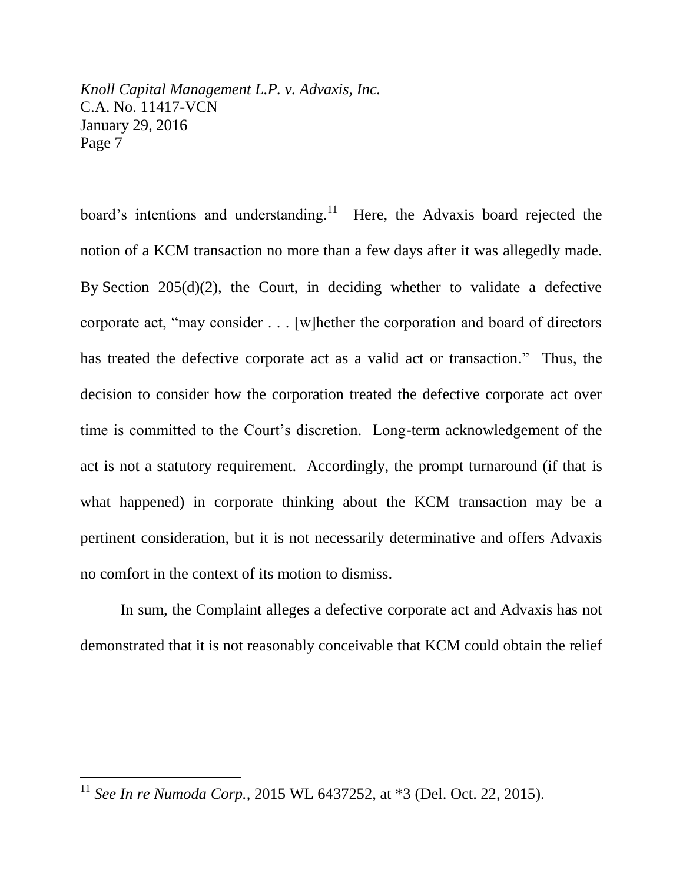board's intentions and understanding. $11$  Here, the Advaxis board rejected the notion of a KCM transaction no more than a few days after it was allegedly made. By Section 205(d)(2), the Court, in deciding whether to validate a defective corporate act, "may consider . . . [w]hether the corporation and board of directors has treated the defective corporate act as a valid act or transaction." Thus, the decision to consider how the corporation treated the defective corporate act over time is committed to the Court's discretion. Long-term acknowledgement of the act is not a statutory requirement. Accordingly, the prompt turnaround (if that is what happened) in corporate thinking about the KCM transaction may be a pertinent consideration, but it is not necessarily determinative and offers Advaxis no comfort in the context of its motion to dismiss.

In sum, the Complaint alleges a defective corporate act and Advaxis has not demonstrated that it is not reasonably conceivable that KCM could obtain the relief

<sup>11</sup> *See In re Numoda Corp.*, 2015 WL 6437252, at \*3 (Del. Oct. 22, 2015).